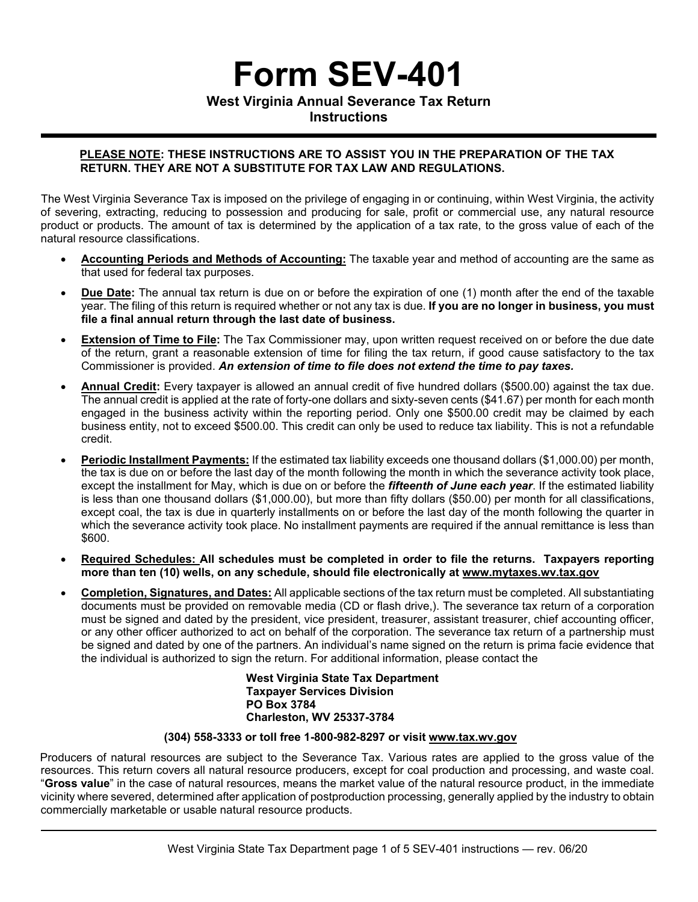# **Form SEV-401**

**West Virginia Annual Severance Tax Return** 

**Instructions**

# **PLEASE NOTE: THESE INSTRUCTIONS ARE TO ASSIST YOU IN THE PREPARATION OF THE TAX RETURN. THEY ARE NOT A SUBSTITUTE FOR TAX LAW AND REGULATIONS.**

The West Virginia Severance Tax is imposed on the privilege of engaging in or continuing, within West Virginia, the activity of severing, extracting, reducing to possession and producing for sale, profit or commercial use, any natural resource product or products. The amount of tax is determined by the application of a tax rate, to the gross value of each of the natural resource classifications.

- **Accounting Periods and Methods of Accounting:** The taxable year and method of accounting are the same as that used for federal tax purposes.
- **Due Date:** The annual tax return is due on or before the expiration of one (1) month after the end of the taxable year. The filing of this return is required whether or not any tax is due. **If you are no longer in business, you must file a final annual return through the last date of business.**
- **Extension of Time to File:** The Tax Commissioner may, upon written request received on or before the due date of the return, grant a reasonable extension of time for filing the tax return, if good cause satisfactory to the tax Commissioner is provided. *An extension of time to file does not extend the time to pay taxes.*
- **Annual Credit:** Every taxpayer is allowed an annual credit of five hundred dollars (\$500.00) against the tax due. The annual credit is applied at the rate of forty-one dollars and sixty-seven cents (\$41.67) per month for each month engaged in the business activity within the reporting period. Only one \$500.00 credit may be claimed by each business entity, not to exceed \$500.00. This credit can only be used to reduce tax liability. This is not a refundable credit.
- **Periodic Installment Payments:** If the estimated tax liability exceeds one thousand dollars (\$1,000.00) per month, the tax is due on or before the last day of the month following the month in which the severance activity took place, except the installment for May, which is due on or before the *fifteenth of June each year*. If the estimated liability is less than one thousand dollars (\$1,000.00), but more than fifty dollars (\$50.00) per month for all classifications, except coal, the tax is due in quarterly installments on or before the last day of the month following the quarter in which the severance activity took place. No installment payments are required if the annual remittance is less than \$600.
- **Required Schedules: All schedules must be completed in order to file the returns. Taxpayers reporting more than ten (10) wells, on any schedule, should file electronically at www.mytaxes.wv.tax.gov**
- **Completion, Signatures, and Dates:** All applicable sections of the tax return must be completed. All substantiating documents must be provided on removable media (CD or flash drive,). The severance tax return of a corporation must be signed and dated by the president, vice president, treasurer, assistant treasurer, chief accounting officer, or any other officer authorized to act on behalf of the corporation. The severance tax return of a partnership must be signed and dated by one of the partners. An individual's name signed on the return is prima facie evidence that the individual is authorized to sign the return. For additional information, please contact the

**West Virginia State Tax Department Taxpayer Services Division PO Box 3784 Charleston, WV 25337-3784** 

# **(304) 558-3333 or toll free 1-800-982-8297 or visit www.tax.wv.gov**

Producers of natural resources are subject to the Severance Tax. Various rates are applied to the gross value of the resources. This return covers all natural resource producers, except for coal production and processing, and waste coal. "**Gross value**" in the case of natural resources, means the market value of the natural resource product, in the immediate vicinity where severed, determined after application of postproduction processing, generally applied by the industry to obtain commercially marketable or usable natural resource products.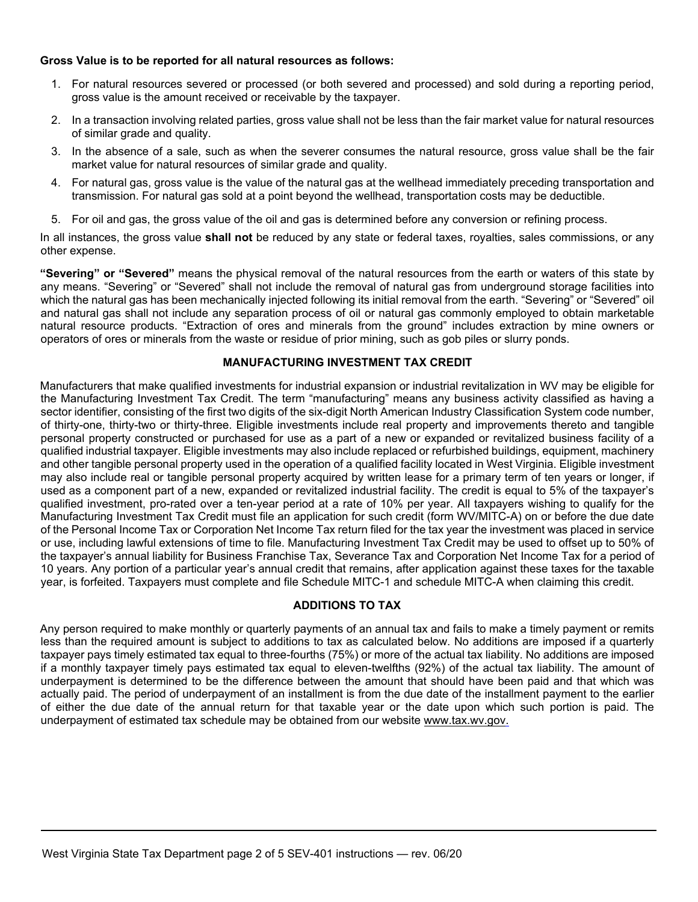#### **Gross Value is to be reported for all natural resources as follows:**

- 1. For natural resources severed or processed (or both severed and processed) and sold during a reporting period, gross value is the amount received or receivable by the taxpayer.
- 2. In a transaction involving related parties, gross value shall not be less than the fair market value for natural resources of similar grade and quality.
- 3. In the absence of a sale, such as when the severer consumes the natural resource, gross value shall be the fair market value for natural resources of similar grade and quality.
- 4. For natural gas, gross value is the value of the natural gas at the wellhead immediately preceding transportation and transmission. For natural gas sold at a point beyond the wellhead, transportation costs may be deductible.
- 5. For oil and gas, the gross value of the oil and gas is determined before any conversion or refining process.

In all instances, the gross value **shall not** be reduced by any state or federal taxes, royalties, sales commissions, or any other expense.

**"Severing" or "Severed"** means the physical removal of the natural resources from the earth or waters of this state by any means. "Severing" or "Severed" shall not include the removal of natural gas from underground storage facilities into which the natural gas has been mechanically injected following its initial removal from the earth. "Severing" or "Severed" oil and natural gas shall not include any separation process of oil or natural gas commonly employed to obtain marketable natural resource products. "Extraction of ores and minerals from the ground" includes extraction by mine owners or operators of ores or minerals from the waste or residue of prior mining, such as gob piles or slurry ponds.

#### **MANUFACTURING INVESTMENT TAX CREDIT**

Manufacturers that make qualified investments for industrial expansion or industrial revitalization in WV may be eligible for the Manufacturing Investment Tax Credit. The term "manufacturing" means any business activity classified as having a sector identifier, consisting of the first two digits of the six-digit North American Industry Classification System code number, of thirty-one, thirty-two or thirty-three. Eligible investments include real property and improvements thereto and tangible personal property constructed or purchased for use as a part of a new or expanded or revitalized business facility of a qualified industrial taxpayer. Eligible investments may also include replaced or refurbished buildings, equipment, machinery and other tangible personal property used in the operation of a qualified facility located in West Virginia. Eligible investment may also include real or tangible personal property acquired by written lease for a primary term of ten years or longer, if used as a component part of a new, expanded or revitalized industrial facility. The credit is equal to 5% of the taxpayer's qualified investment, pro-rated over a ten-year period at a rate of 10% per year. All taxpayers wishing to qualify for the Manufacturing Investment Tax Credit must file an application for such credit (form WV/MITC-A) on or before the due date of the Personal Income Tax or Corporation Net Income Tax return filed for the tax year the investment was placed in service or use, including lawful extensions of time to file. Manufacturing Investment Tax Credit may be used to offset up to 50% of the taxpayer's annual liability for Business Franchise Tax, Severance Tax and Corporation Net Income Tax for a period of 10 years. Any portion of a particular year's annual credit that remains, after application against these taxes for the taxable year, is forfeited. Taxpayers must complete and file Schedule MITC-1 and schedule MITC-A when claiming this credit.

# **ADDITIONS TO TAX**

Any person required to make monthly or quarterly payments of an annual tax and fails to make a timely payment or remits less than the required amount is subject to additions to tax as calculated below. No additions are imposed if a quarterly taxpayer pays timely estimated tax equal to three-fourths (75%) or more of the actual tax liability. No additions are imposed if a monthly taxpayer timely pays estimated tax equal to eleven-twelfths (92%) of the actual tax liability. The amount of underpayment is determined to be the difference between the amount that should have been paid and that which was actually paid. The period of underpayment of an installment is from the due date of the installment payment to the earlier of either the due date of the annual return for that taxable year or the date upon which such portion is paid. The underpayment of estimated tax schedule may be obtained from our website www.tax.wv.gov.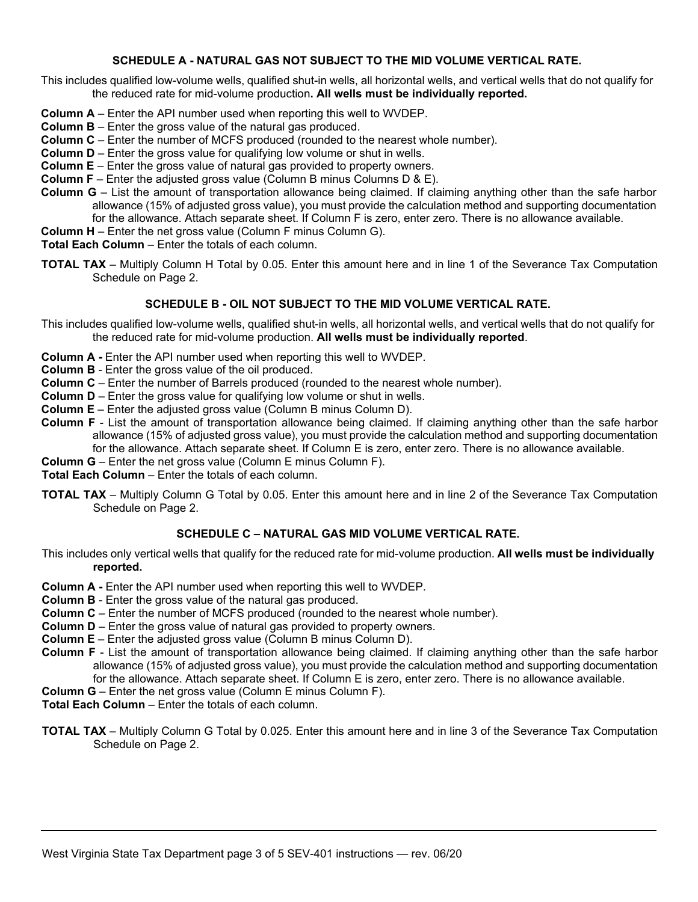# **SCHEDULE A - NATURAL GAS NOT SUBJECT TO THE MID VOLUME VERTICAL RATE.**

This includes qualified low-volume wells, qualified shut-in wells, all horizontal wells, and vertical wells that do not qualify for the reduced rate for mid-volume production**. All wells must be individually reported.**

- **Column A** Enter the API number used when reporting this well to WVDEP.
- **Column B** Enter the gross value of the natural gas produced.
- **Column C** Enter the number of MCFS produced (rounded to the nearest whole number).
- **Column D** Enter the gross value for qualifying low volume or shut in wells.
- **Column E** Enter the gross value of natural gas provided to property owners.
- **Column F** Enter the adjusted gross value (Column B minus Columns D & E).
- **Column G** List the amount of transportation allowance being claimed. If claiming anything other than the safe harbor allowance (15% of adjusted gross value), you must provide the calculation method and supporting documentation for the allowance. Attach separate sheet. If Column F is zero, enter zero. There is no allowance available.
- **Column H** Enter the net gross value (Column F minus Column G).
- **Total Each Column** Enter the totals of each column.
- **TOTAL TAX** Multiply Column H Total by 0.05. Enter this amount here and in line 1 of the Severance Tax Computation Schedule on Page 2.

# **SCHEDULE B - OIL NOT SUBJECT TO THE MID VOLUME VERTICAL RATE.**

- This includes qualified low-volume wells, qualified shut-in wells, all horizontal wells, and vertical wells that do not qualify for the reduced rate for mid-volume production. **All wells must be individually reported**.
- **Column A** Enter the API number used when reporting this well to WVDEP.
- **Column B**  Enter the gross value of the oil produced.
- **Column C** Enter the number of Barrels produced (rounded to the nearest whole number).
- **Column D** Enter the gross value for qualifying low volume or shut in wells.
- **Column E** Enter the adjusted gross value (Column B minus Column D).
- **Column F** List the amount of transportation allowance being claimed. If claiming anything other than the safe harbor allowance (15% of adjusted gross value), you must provide the calculation method and supporting documentation for the allowance. Attach separate sheet. If Column E is zero, enter zero. There is no allowance available.
- **Column G** Enter the net gross value (Column E minus Column F).

**Total Each Column** – Enter the totals of each column.

**TOTAL TAX** – Multiply Column G Total by 0.05. Enter this amount here and in line 2 of the Severance Tax Computation Schedule on Page 2.

# **SCHEDULE C – NATURAL GAS MID VOLUME VERTICAL RATE.**

This includes only vertical wells that qualify for the reduced rate for mid-volume production. **All wells must be individually reported.** 

- **Column A** Enter the API number used when reporting this well to WVDEP.
- **Column B**  Enter the gross value of the natural gas produced.
- **Column C** Enter the number of MCFS produced (rounded to the nearest whole number).
- **Column D** Enter the gross value of natural gas provided to property owners.
- **Column E** Enter the adjusted gross value (Column B minus Column D).
- **Column F** List the amount of transportation allowance being claimed. If claiming anything other than the safe harbor allowance (15% of adjusted gross value), you must provide the calculation method and supporting documentation for the allowance. Attach separate sheet. If Column E is zero, enter zero. There is no allowance available.
- **Column G** Enter the net gross value (Column E minus Column F).
- **Total Each Column** Enter the totals of each column.
- **TOTAL TAX** Multiply Column G Total by 0.025. Enter this amount here and in line 3 of the Severance Tax Computation Schedule on Page 2.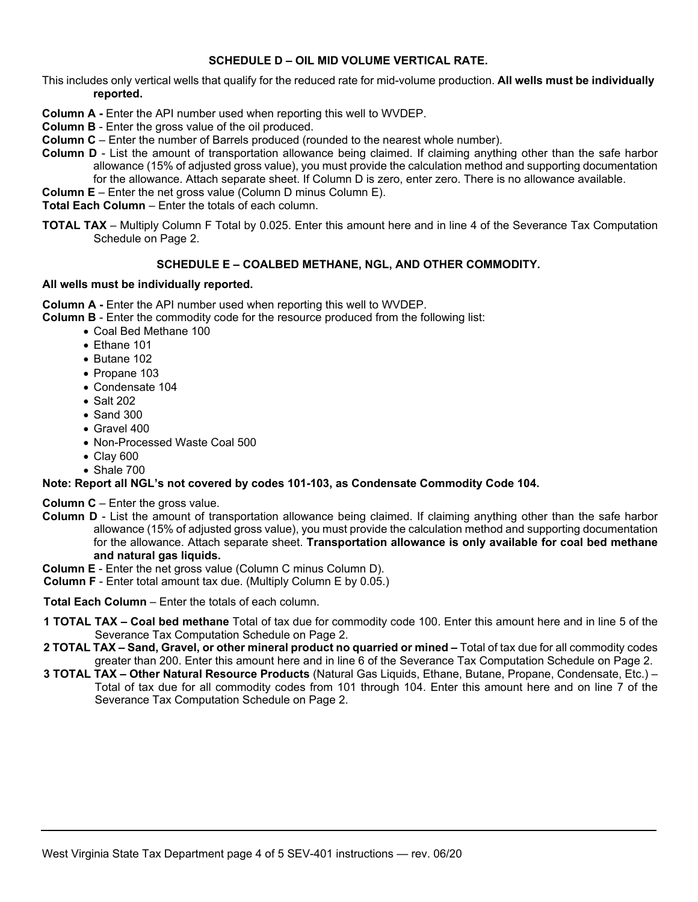#### **SCHEDULE D – OIL MID VOLUME VERTICAL RATE.**

This includes only vertical wells that qualify for the reduced rate for mid-volume production. **All wells must be individually reported.** 

- **Column A** Enter the API number used when reporting this well to WVDEP.
- **Column B**  Enter the gross value of the oil produced.
- **Column C** Enter the number of Barrels produced (rounded to the nearest whole number).
- **Column D** List the amount of transportation allowance being claimed. If claiming anything other than the safe harbor allowance (15% of adjusted gross value), you must provide the calculation method and supporting documentation for the allowance. Attach separate sheet. If Column D is zero, enter zero. There is no allowance available.
- **Column E** Enter the net gross value (Column D minus Column E).

**Total Each Column** – Enter the totals of each column.

**TOTAL TAX** – Multiply Column F Total by 0.025. Enter this amount here and in line 4 of the Severance Tax Computation Schedule on Page 2.

#### **SCHEDULE E – COALBED METHANE, NGL, AND OTHER COMMODITY.**

#### **All wells must be individually reported.**

**Column A** - Enter the API number used when reporting this well to WVDEP.

**Column B** - Enter the commodity code for the resource produced from the following list:

- Coal Bed Methane 100
- Ethane 101
- Butane 102
- Propane 103
- Condensate 104
- Salt 202
- Sand 300
- Gravel 400
- Non-Processed Waste Coal 500
- Clay 600
- Shale 700

# **Note: Report all NGL's not covered by codes 101-103, as Condensate Commodity Code 104.**

**Column C** – Enter the gross value.

- **Column D** List the amount of transportation allowance being claimed. If claiming anything other than the safe harbor allowance (15% of adjusted gross value), you must provide the calculation method and supporting documentation for the allowance. Attach separate sheet. **Transportation allowance is only available for coal bed methane and natural gas liquids.**
- **Column E** Enter the net gross value (Column C minus Column D).
- **Column F**  Enter total amount tax due. (Multiply Column E by 0.05.)
- **Total Each Column** Enter the totals of each column.
- **1 TOTAL TAX Coal bed methane** Total of tax due for commodity code 100. Enter this amount here and in line 5 of the Severance Tax Computation Schedule on Page 2.
- **2 TOTAL TAX Sand, Gravel, or other mineral product no quarried or mined –** Total of tax due for all commodity codes greater than 200. Enter this amount here and in line 6 of the Severance Tax Computation Schedule on Page 2.
- **3 TOTAL TAX Other Natural Resource Products** (Natural Gas Liquids, Ethane, Butane, Propane, Condensate, Etc.) Total of tax due for all commodity codes from 101 through 104. Enter this amount here and on line 7 of the Severance Tax Computation Schedule on Page 2.